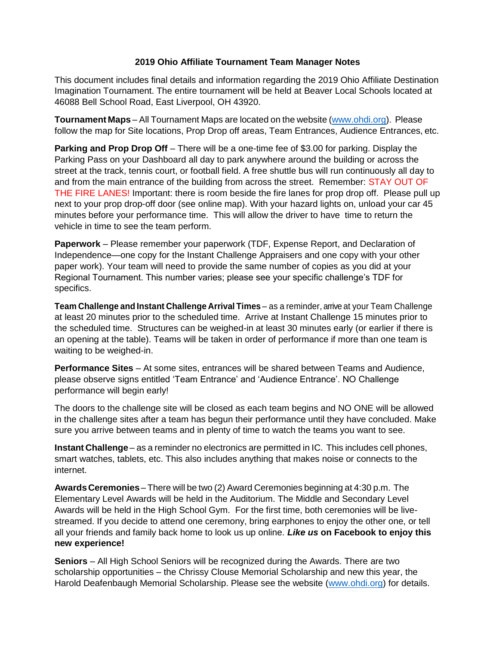## **2019 Ohio Affiliate Tournament Team Manager Notes**

This document includes final details and information regarding the 2019 Ohio Affiliate Destination Imagination Tournament. The entire tournament will be held at Beaver Local Schools located at 46088 Bell School Road, East Liverpool, OH 43920.

**Tournament Maps** – All Tournament Maps are located on the website [\(www.ohdi.org\)](http://www.ohdi.org/). Please follow the map for Site locations, Prop Drop off areas, Team Entrances, Audience Entrances, etc.

**Parking and Prop Drop Off** – There will be a one-time fee of \$3.00 for parking. Display the Parking Pass on your Dashboard all day to park anywhere around the building or across the street at the track, tennis court, or football field. A free shuttle bus will run continuously all day to and from the main entrance of the building from across the street. Remember: STAY OUT OF THE FIRE LANES! Important: there is room beside the fire lanes for prop drop off. Please pull up next to your prop drop-off door (see online map). With your hazard lights on, unload your car 45 minutes before your performance time. This will allow the driver to have time to return the vehicle in time to see the team perform.

**Paperwork** – Please remember your paperwork (TDF, Expense Report, and Declaration of Independence—one copy for the Instant Challenge Appraisers and one copy with your other paper work). Your team will need to provide the same number of copies as you did at your Regional Tournament. This number varies; please see your specific challenge's TDF for specifics.

**Team Challenge and Instant Challenge Arrival Times** – as a reminder, arrive at your Team Challenge at least 20 minutes prior to the scheduled time. Arrive at Instant Challenge 15 minutes prior to the scheduled time. Structures can be weighed-in at least 30 minutes early (or earlier if there is an opening at the table). Teams will be taken in order of performance if more than one team is waiting to be weighed-in.

**Performance Sites** – At some sites, entrances will be shared between Teams and Audience, please observe signs entitled 'Team Entrance' and 'Audience Entrance'. NO Challenge performance will begin early!

The doors to the challenge site will be closed as each team begins and NO ONE will be allowed in the challenge sites after a team has begun their performance until they have concluded. Make sure you arrive between teams and in plenty of time to watch the teams you want to see.

**Instant Challenge** – as a reminder no electronics are permitted in IC. This includes cell phones, smart watches, tablets, etc. This also includes anything that makes noise or connects to the internet.

**AwardsCeremonies**– There will be two (2) Award Ceremonies beginning at 4:30 p.m. The Elementary Level Awards will be held in the Auditorium. The Middle and Secondary Level Awards will be held in the High School Gym. For the first time, both ceremonies will be livestreamed. If you decide to attend one ceremony, bring earphones to enjoy the other one, or tell all your friends and family back home to look us up online. *Like us* **on Facebook to enjoy this new experience!**

**Seniors** – All High School Seniors will be recognized during the Awards. There are two scholarship opportunities – the Chrissy Clouse Memorial Scholarship and new this year, the Harold Deafenbaugh Memorial Scholarship. Please see the website [\(www.ohdi.org\)](http://www.ohdi.org/) for details.